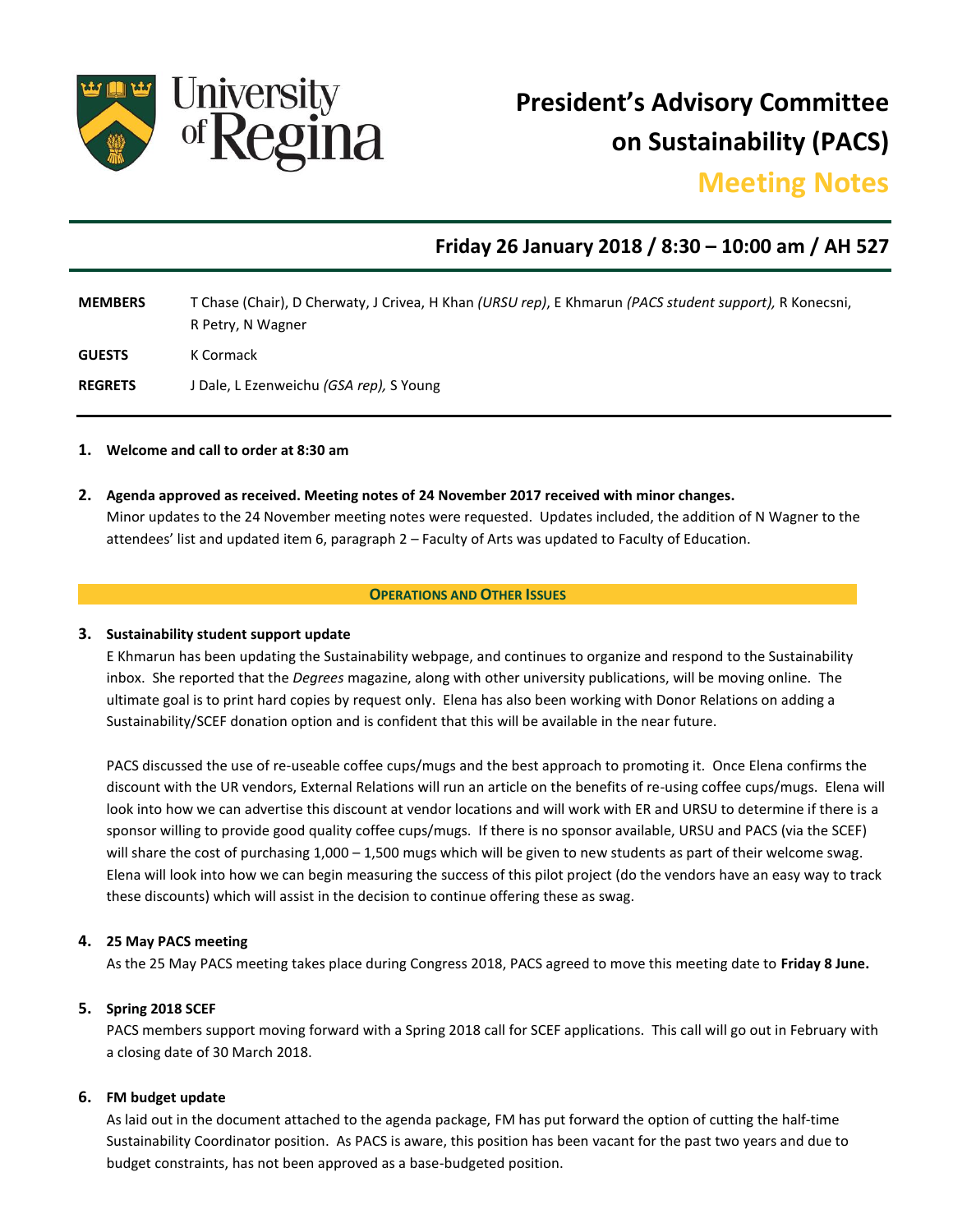

**President's Advisory Committee on Sustainability (PACS)**

# **Meeting Notes**

## **Friday 26 January 2018 / 8:30 – 10:00 am / AH 527**

| <b>MEMBERS</b> | T Chase (Chair), D Cherwaty, J Crivea, H Khan (URSU rep), E Khmarun (PACS student support), R Konecsni,<br>R Petry, N Wagner |
|----------------|------------------------------------------------------------------------------------------------------------------------------|
| <b>GUESTS</b>  | K Cormack                                                                                                                    |
| <b>REGRETS</b> | J Dale, L Ezenweichu <i>(GSA rep)</i> , S Young                                                                              |

#### **1. Welcome and call to order at 8:30 am**

**2. Agenda approved as received. Meeting notes of 24 November 2017 received with minor changes.** Minor updates to the 24 November meeting notes were requested. Updates included, the addition of N Wagner to the attendees' list and updated item 6, paragraph 2 – Faculty of Arts was updated to Faculty of Education.

#### **OPERATIONS AND OTHER ISSUES**

#### **3. Sustainability student support update**

E Khmarun has been updating the Sustainability webpage, and continues to organize and respond to the Sustainability inbox. She reported that the *Degrees* magazine, along with other university publications, will be moving online. The ultimate goal is to print hard copies by request only. Elena has also been working with Donor Relations on adding a Sustainability/SCEF donation option and is confident that this will be available in the near future.

PACS discussed the use of re-useable coffee cups/mugs and the best approach to promoting it. Once Elena confirms the discount with the UR vendors, External Relations will run an article on the benefits of re-using coffee cups/mugs. Elena will look into how we can advertise this discount at vendor locations and will work with ER and URSU to determine if there is a sponsor willing to provide good quality coffee cups/mugs. If there is no sponsor available, URSU and PACS (via the SCEF) will share the cost of purchasing  $1,000 - 1,500$  mugs which will be given to new students as part of their welcome swag. Elena will look into how we can begin measuring the success of this pilot project (do the vendors have an easy way to track these discounts) which will assist in the decision to continue offering these as swag.

#### **4. 25 May PACS meeting**

As the 25 May PACS meeting takes place during Congress 2018, PACS agreed to move this meeting date to **Friday 8 June.**

#### **5. Spring 2018 SCEF**

PACS members support moving forward with a Spring 2018 call for SCEF applications. This call will go out in February with a closing date of 30 March 2018.

#### **6. FM budget update**

As laid out in the document attached to the agenda package, FM has put forward the option of cutting the half-time Sustainability Coordinator position. As PACS is aware, this position has been vacant for the past two years and due to budget constraints, has not been approved as a base-budgeted position.